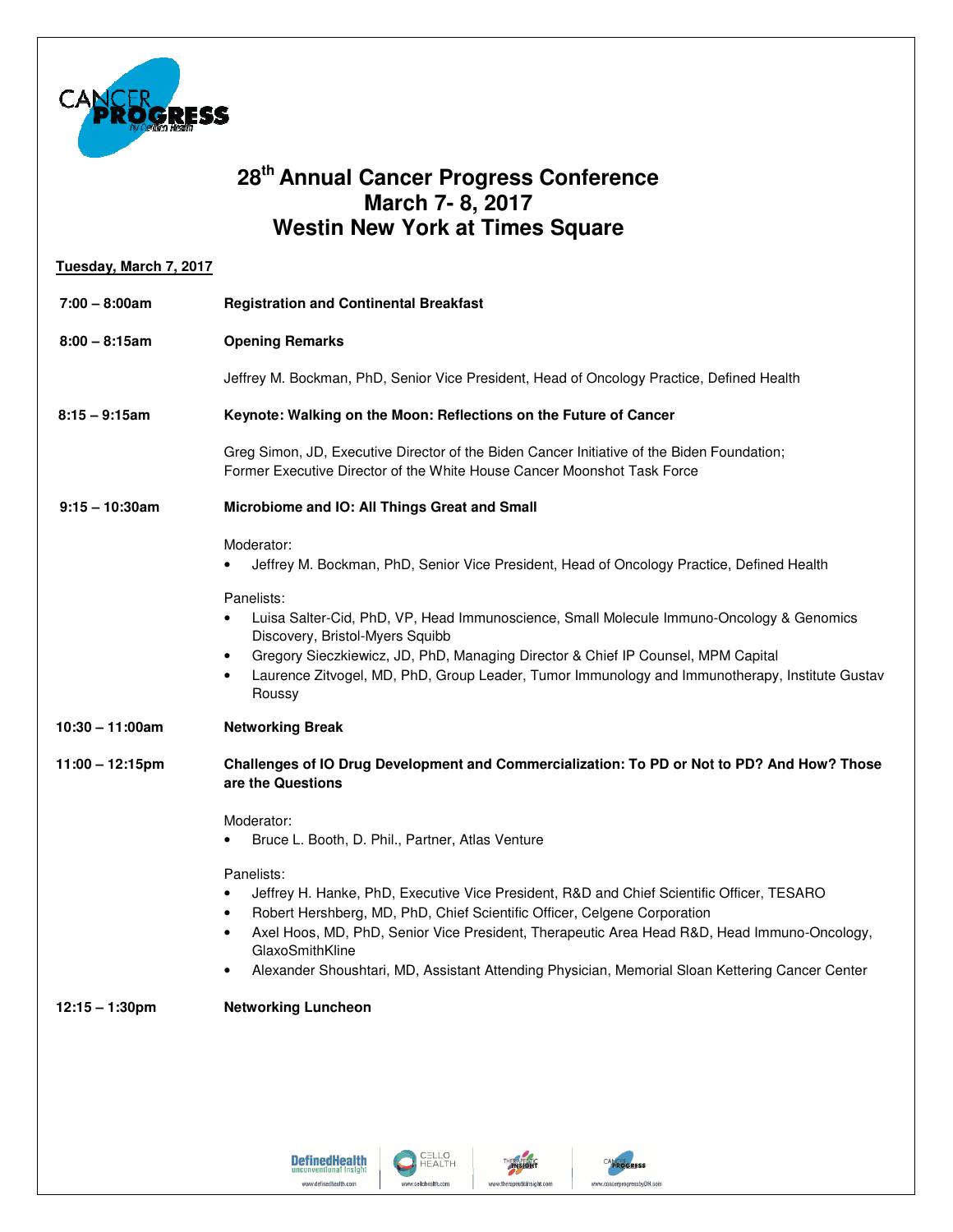

## **28th Annual Cancer Progress Conference Cancer ConferenceMarch 7- 8, 2017 Westin New York at Times Square**

| Tuesday, March 7, 2017 |                                                                                                                                                                                                                                                                                                                                                                                                                                    |
|------------------------|------------------------------------------------------------------------------------------------------------------------------------------------------------------------------------------------------------------------------------------------------------------------------------------------------------------------------------------------------------------------------------------------------------------------------------|
| $7:00 - 8:00am$        | <b>Registration and Continental Breakfast</b>                                                                                                                                                                                                                                                                                                                                                                                      |
| $8:00 - 8:15am$        | <b>Opening Remarks</b>                                                                                                                                                                                                                                                                                                                                                                                                             |
|                        | Jeffrey M. Bockman, PhD, Senior Vice President, Head of Oncology Practice, Defined Health                                                                                                                                                                                                                                                                                                                                          |
| $8:15 - 9:15$ am       | Keynote: Walking on the Moon: Reflections on the Future of Cancer                                                                                                                                                                                                                                                                                                                                                                  |
|                        | Greg Simon, JD, Executive Director of the Biden Cancer Initiative of the Biden Foundation;<br>Former Executive Director of the White House Cancer Moonshot Task Force                                                                                                                                                                                                                                                              |
| $9:15 - 10:30$ am      | Microbiome and IO: All Things Great and Small                                                                                                                                                                                                                                                                                                                                                                                      |
|                        | Moderator:<br>Jeffrey M. Bockman, PhD, Senior Vice President, Head of Oncology Practice, Defined Health                                                                                                                                                                                                                                                                                                                            |
|                        | Panelists:<br>Luisa Salter-Cid, PhD, VP, Head Immunoscience, Small Molecule Immuno-Oncology & Genomics<br>$\bullet$<br>Discovery, Bristol-Myers Squibb<br>Gregory Sieczkiewicz, JD, PhD, Managing Director & Chief IP Counsel, MPM Capital<br>$\bullet$<br>Laurence Zitvogel, MD, PhD, Group Leader, Tumor Immunology and Immunotherapy, Institute Gustav<br>٠<br>Roussy                                                           |
| $10:30 - 11:00$ am     | <b>Networking Break</b>                                                                                                                                                                                                                                                                                                                                                                                                            |
| $11:00 - 12:15$ pm     | Challenges of IO Drug Development and Commercialization: To PD or Not to PD? And How? Those<br>are the Questions                                                                                                                                                                                                                                                                                                                   |
|                        | Moderator:<br>Bruce L. Booth, D. Phil., Partner, Atlas Venture                                                                                                                                                                                                                                                                                                                                                                     |
|                        | Panelists:<br>Jeffrey H. Hanke, PhD, Executive Vice President, R&D and Chief Scientific Officer, TESARO<br>$\bullet$<br>Robert Hershberg, MD, PhD, Chief Scientific Officer, Celgene Corporation<br>$\bullet$<br>Axel Hoos, MD, PhD, Senior Vice President, Therapeutic Area Head R&D, Head Immuno-Oncology,<br>GlaxoSmithKline<br>Alexander Shoushtari, MD, Assistant Attending Physician, Memorial Sloan Kettering Cancer Center |
| $12:15 - 1:30$ pm      | <b>Networking Luncheon</b>                                                                                                                                                                                                                                                                                                                                                                                                         |
|                        |                                                                                                                                                                                                                                                                                                                                                                                                                                    |

CELLO<br>HEALTH

www.cellohealth.com

**HERMIELANG** 

www.therapeuticinsight.com

CANCER ecc

www.cancerprogressbyDH.com

**DefinedHealth** 

www.definedhealth.com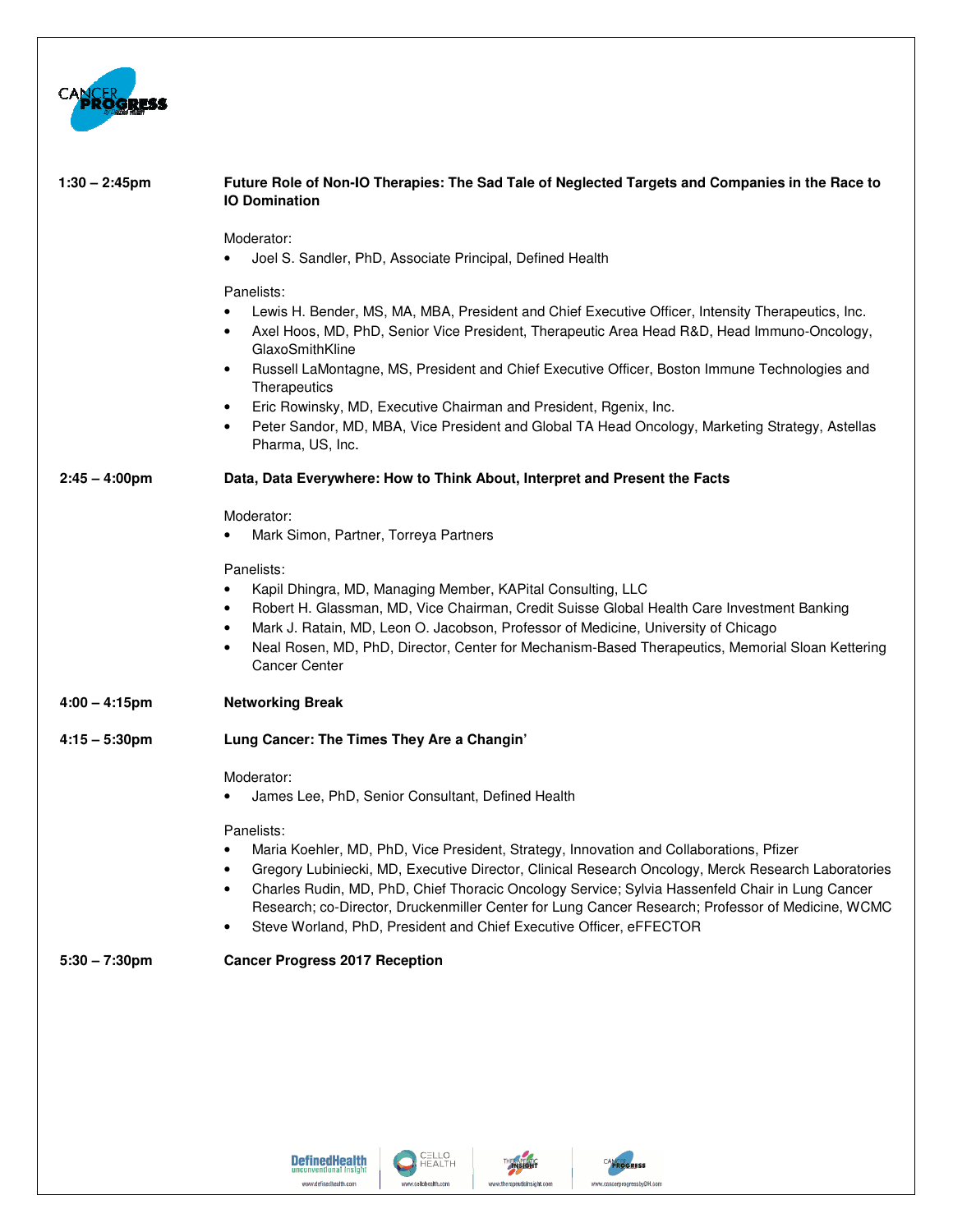

| $1:30 - 2:45$ pm        | Future Role of Non-IO Therapies: The Sad Tale of Neglected Targets and Companies in the Race to<br><b>IO Domination</b>                                                                                                                                                                                                                                                                                                                                                                                                                                                                                 |
|-------------------------|---------------------------------------------------------------------------------------------------------------------------------------------------------------------------------------------------------------------------------------------------------------------------------------------------------------------------------------------------------------------------------------------------------------------------------------------------------------------------------------------------------------------------------------------------------------------------------------------------------|
|                         | Moderator:                                                                                                                                                                                                                                                                                                                                                                                                                                                                                                                                                                                              |
|                         | Joel S. Sandler, PhD, Associate Principal, Defined Health<br>$\bullet$                                                                                                                                                                                                                                                                                                                                                                                                                                                                                                                                  |
|                         | Panelists:<br>Lewis H. Bender, MS, MA, MBA, President and Chief Executive Officer, Intensity Therapeutics, Inc.<br>$\bullet$<br>Axel Hoos, MD, PhD, Senior Vice President, Therapeutic Area Head R&D, Head Immuno-Oncology,<br>$\bullet$<br>GlaxoSmithKline<br>Russell LaMontagne, MS, President and Chief Executive Officer, Boston Immune Technologies and<br>٠<br>Therapeutics<br>Eric Rowinsky, MD, Executive Chairman and President, Rgenix, Inc.<br>$\bullet$<br>Peter Sandor, MD, MBA, Vice President and Global TA Head Oncology, Marketing Strategy, Astellas<br>$\bullet$<br>Pharma, US, Inc. |
| $2:45 - 4:00 \text{pm}$ | Data, Data Everywhere: How to Think About, Interpret and Present the Facts                                                                                                                                                                                                                                                                                                                                                                                                                                                                                                                              |
|                         | Moderator:                                                                                                                                                                                                                                                                                                                                                                                                                                                                                                                                                                                              |
|                         | Mark Simon, Partner, Torreya Partners                                                                                                                                                                                                                                                                                                                                                                                                                                                                                                                                                                   |
|                         | Panelists:<br>Kapil Dhingra, MD, Managing Member, KAPital Consulting, LLC<br>$\bullet$<br>Robert H. Glassman, MD, Vice Chairman, Credit Suisse Global Health Care Investment Banking<br>$\bullet$<br>Mark J. Ratain, MD, Leon O. Jacobson, Professor of Medicine, University of Chicago<br>$\bullet$<br>Neal Rosen, MD, PhD, Director, Center for Mechanism-Based Therapeutics, Memorial Sloan Kettering<br>$\bullet$<br><b>Cancer Center</b>                                                                                                                                                           |
| $4:00 - 4:15$ pm        | <b>Networking Break</b>                                                                                                                                                                                                                                                                                                                                                                                                                                                                                                                                                                                 |
| $4:15 - 5:30$ pm        | Lung Cancer: The Times They Are a Changin'                                                                                                                                                                                                                                                                                                                                                                                                                                                                                                                                                              |
|                         | Moderator:                                                                                                                                                                                                                                                                                                                                                                                                                                                                                                                                                                                              |
|                         | James Lee, PhD, Senior Consultant, Defined Health                                                                                                                                                                                                                                                                                                                                                                                                                                                                                                                                                       |
|                         | Panelists:<br>Maria Koehler, MD, PhD, Vice President, Strategy, Innovation and Collaborations, Pfizer<br>$\bullet$<br>Gregory Lubiniecki, MD, Executive Director, Clinical Research Oncology, Merck Research Laboratories<br>Charles Rudin, MD, PhD, Chief Thoracic Oncology Service; Sylvia Hassenfeld Chair in Lung Cancer<br>Research; co-Director, Druckenmiller Center for Lung Cancer Research; Professor of Medicine, WCMC<br>Steve Worland, PhD, President and Chief Executive Officer, eFFECTOR<br>٠                                                                                           |
| $5:30 - 7:30$ pm        | <b>Cancer Progress 2017 Reception</b>                                                                                                                                                                                                                                                                                                                                                                                                                                                                                                                                                                   |
|                         |                                                                                                                                                                                                                                                                                                                                                                                                                                                                                                                                                                                                         |





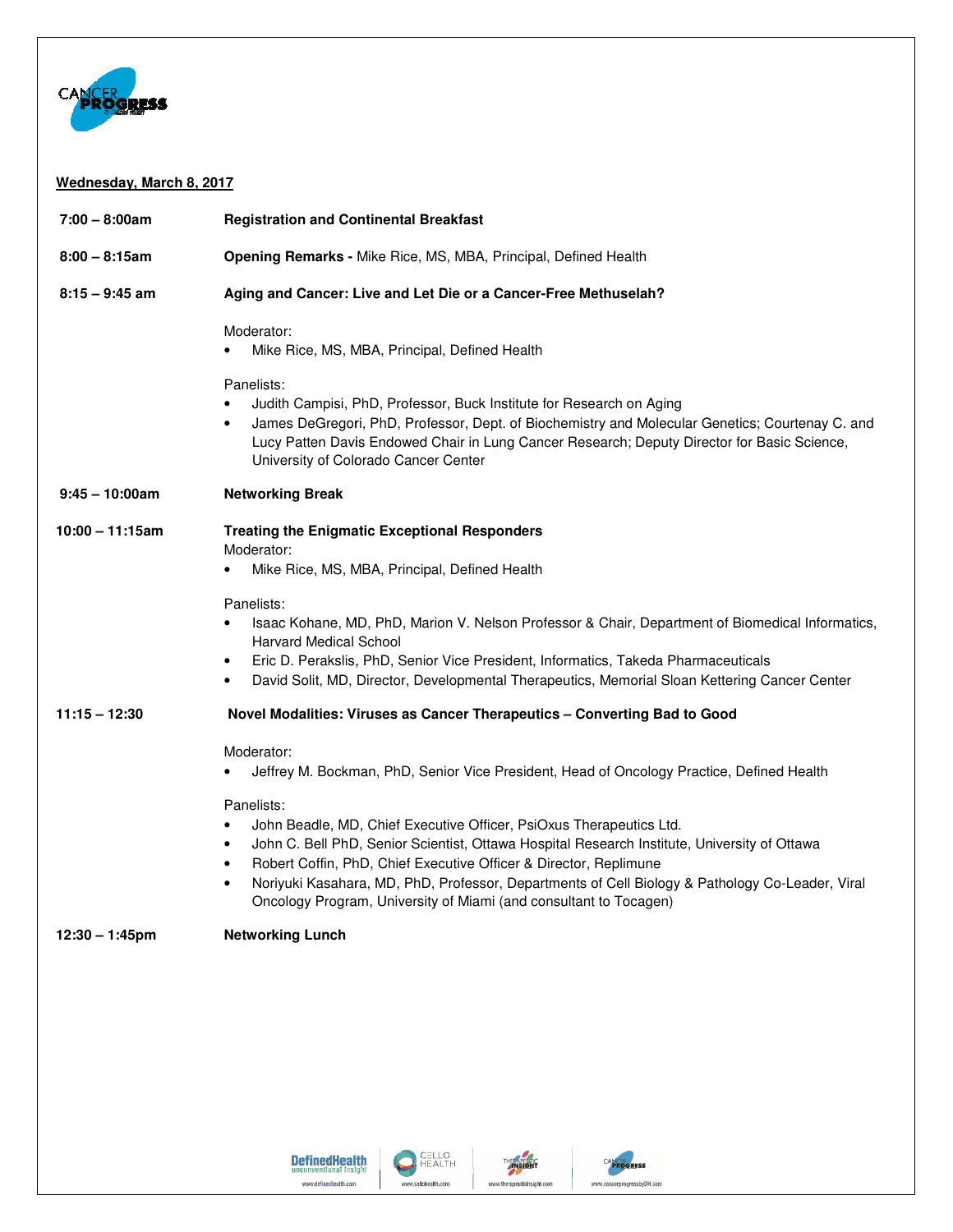

## **Wednesday, March 8, 2017**

| $7:00 - 8:00am$    | <b>Registration and Continental Breakfast</b>                                                                                                                                                                                                                                                                                                                                                                                                    |
|--------------------|--------------------------------------------------------------------------------------------------------------------------------------------------------------------------------------------------------------------------------------------------------------------------------------------------------------------------------------------------------------------------------------------------------------------------------------------------|
| $8:00 - 8:15am$    | Opening Remarks - Mike Rice, MS, MBA, Principal, Defined Health                                                                                                                                                                                                                                                                                                                                                                                  |
| $8:15 - 9:45$ am   | Aging and Cancer: Live and Let Die or a Cancer-Free Methuselah?                                                                                                                                                                                                                                                                                                                                                                                  |
|                    | Moderator:<br>Mike Rice, MS, MBA, Principal, Defined Health                                                                                                                                                                                                                                                                                                                                                                                      |
|                    | Panelists:<br>Judith Campisi, PhD, Professor, Buck Institute for Research on Aging<br>James DeGregori, PhD, Professor, Dept. of Biochemistry and Molecular Genetics; Courtenay C. and<br>$\bullet$<br>Lucy Patten Davis Endowed Chair in Lung Cancer Research; Deputy Director for Basic Science,<br>University of Colorado Cancer Center                                                                                                        |
| $9:45 - 10:00$ am  | <b>Networking Break</b>                                                                                                                                                                                                                                                                                                                                                                                                                          |
| $10:00 - 11:15$ am | <b>Treating the Enigmatic Exceptional Responders</b><br>Moderator:                                                                                                                                                                                                                                                                                                                                                                               |
|                    | Mike Rice, MS, MBA, Principal, Defined Health                                                                                                                                                                                                                                                                                                                                                                                                    |
|                    | Panelists:<br>Isaac Kohane, MD, PhD, Marion V. Nelson Professor & Chair, Department of Biomedical Informatics,<br><b>Harvard Medical School</b><br>Eric D. Perakslis, PhD, Senior Vice President, Informatics, Takeda Pharmaceuticals<br>$\bullet$<br>David Solit, MD, Director, Developmental Therapeutics, Memorial Sloan Kettering Cancer Center<br>$\bullet$                                                                                 |
| $11:15 - 12:30$    | Novel Modalities: Viruses as Cancer Therapeutics - Converting Bad to Good                                                                                                                                                                                                                                                                                                                                                                        |
|                    | Moderator:<br>Jeffrey M. Bockman, PhD, Senior Vice President, Head of Oncology Practice, Defined Health                                                                                                                                                                                                                                                                                                                                          |
|                    | Panelists:<br>John Beadle, MD, Chief Executive Officer, PsiOxus Therapeutics Ltd.<br>John C. Bell PhD, Senior Scientist, Ottawa Hospital Research Institute, University of Ottawa<br>$\bullet$<br>Robert Coffin, PhD, Chief Executive Officer & Director, Replimune<br>٠<br>Noriyuki Kasahara, MD, PhD, Professor, Departments of Cell Biology & Pathology Co-Leader, Viral<br>Oncology Program, University of Miami (and consultant to Tocagen) |
| $12:30 - 1:45$ pm  | <b>Networking Lunch</b>                                                                                                                                                                                                                                                                                                                                                                                                                          |
|                    |                                                                                                                                                                                                                                                                                                                                                                                                                                                  |